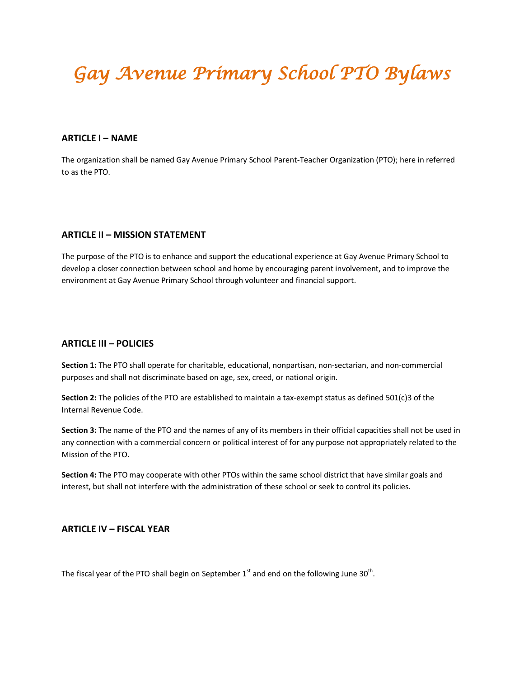# *Gay Avenue Primary School PTO Bylaws*

## **ARTICLE I – NAME**

The organization shall be named Gay Avenue Primary School Parent-Teacher Organization (PTO); here in referred to as the PTO.

## **ARTICLE II – MISSION STATEMENT**

The purpose of the PTO is to enhance and support the educational experience at Gay Avenue Primary School to develop a closer connection between school and home by encouraging parent involvement, and to improve the environment at Gay Avenue Primary School through volunteer and financial support.

## **ARTICLE III – POLICIES**

**Section 1:** The PTO shall operate for charitable, educational, nonpartisan, non-sectarian, and non-commercial purposes and shall not discriminate based on age, sex, creed, or national origin.

**Section 2:** The policies of the PTO are established to maintain a tax-exempt status as defined 501(c)3 of the Internal Revenue Code.

**Section 3:** The name of the PTO and the names of any of its members in their official capacities shall not be used in any connection with a commercial concern or political interest of for any purpose not appropriately related to the Mission of the PTO.

**Section 4:** The PTO may cooperate with other PTOs within the same school district that have similar goals and interest, but shall not interfere with the administration of these school or seek to control its policies.

## **ARTICLE IV – FISCAL YEAR**

The fiscal year of the PTO shall begin on September 1<sup>st</sup> and end on the following June 30<sup>th</sup>.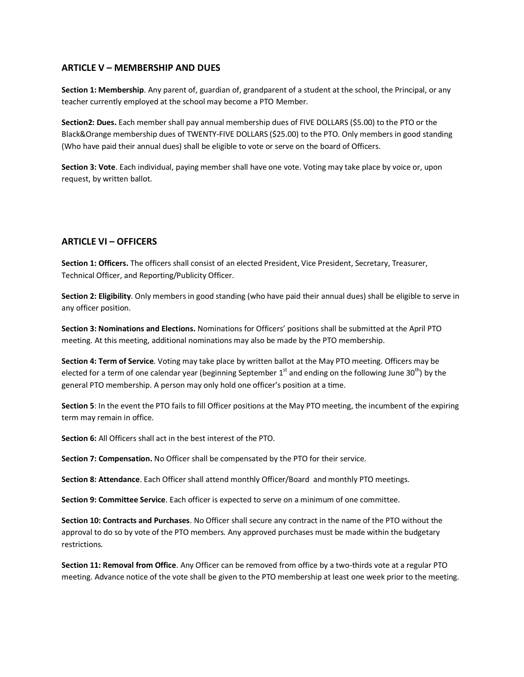## **ARTICLE V – MEMBERSHIP AND DUES**

**Section 1: Membership**. Any parent of, guardian of, grandparent of a student at the school, the Principal, or any teacher currently employed at the school may become a PTO Member.

**Section2: Dues.** Each member shall pay annual membership dues of FIVE DOLLARS (\$5.00) to the PTO or the Black&Orange membership dues of TWENTY-FIVE DOLLARS (\$25.00) to the PTO. Only members in good standing (Who have paid their annual dues) shall be eligible to vote or serve on the board of Officers.

**Section 3: Vote**. Each individual, paying member shall have one vote. Voting may take place by voice or, upon request, by written ballot.

## **ARTICLE VI – OFFICERS**

**Section 1: Officers.** The officers shall consist of an elected President, Vice President, Secretary, Treasurer, Technical Officer, and Reporting/Publicity Officer.

**Section 2: Eligibility**. Only members in good standing (who have paid their annual dues) shall be eligible to serve in any officer position.

**Section 3: Nominations and Elections.** Nominations for Officers' positions shall be submitted at the April PTO meeting. At this meeting, additional nominations may also be made by the PTO membership.

**Section 4: Term of Service**. Voting may take place by written ballot at the May PTO meeting. Officers may be elected for a term of one calendar year (beginning September  $1<sup>st</sup>$  and ending on the following June 30<sup>th</sup>) by the general PTO membership. A person may only hold one officer's position at a time.

**Section 5**: In the event the PTO fails to fill Officer positions at the May PTO meeting, the incumbent of the expiring term may remain in office.

**Section 6:** All Officers shall act in the best interest of the PTO.

**Section 7: Compensation.** No Officer shall be compensated by the PTO for their service.

**Section 8: Attendance**. Each Officer shall attend monthly Officer/Board and monthly PTO meetings.

**Section 9: Committee Service**. Each officer is expected to serve on a minimum of one committee.

**Section 10: Contracts and Purchases**. No Officer shall secure any contract in the name of the PTO without the approval to do so by vote of the PTO members. Any approved purchases must be made within the budgetary restrictions.

**Section 11: Removal from Office**. Any Officer can be removed from office by a two-thirds vote at a regular PTO meeting. Advance notice of the vote shall be given to the PTO membership at least one week prior to the meeting.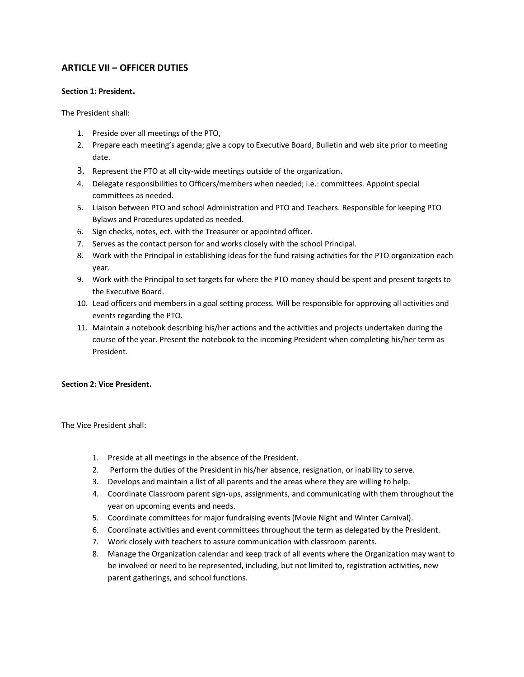# **ARTICLE VII – OFFICER DUTIES**

## **Section 1: President.**

The President shall:

- 1. Preside over all meetings of the PTO,
- 2. Prepare each meeting's agenda; give a copy to Executive Board, Bulletin and web site prior to meeting date.
- 3. Represent the PTO at all city-wide meetings outside of the organization.
- 4. Delegate responsibilities to Officers/members when needed; i.e.: committees. Appoint special committees as needed.
- 5. Liaison between PTO and school Administration and PTO and Teachers. Responsible for keeping PTO Bylaws and Procedures updated as needed.
- 6. Sign checks, notes, ect. with the Treasurer or appointed officer.
- 7. Serves as the contact person for and works closely with the school Principal.
- 8. Work with the Principal in establishing ideas for the fund raising activities for the PTO organization each year.
- 9. Work with the Principal to set targets for where the PTO money should be spent and present targets to the Executive Board.
- 10. Lead officers and members in a goal setting process. Will be responsible for approving all activities and events regarding the PTO.
- 11. Maintain a notebook describing his/her actions and the activities and projects undertaken during the course of the year. Present the notebook to the incoming President when completing his/her term as President.

## **Section 2: Vice President.**

The Vice President shall:

- 1. Preside at all meetings in the absence of the President.
- 2. Perform the duties of the President in his/her absence, resignation, or inability to serve.
- 3. Develops and maintain a list of all parents and the areas where they are willing to help.
- 4. Coordinate Classroom parent sign-ups, assignments, and communicating with them throughout the year on upcoming events and needs.
- 5. Coordinate committees for major fundraising events (Movie Night and Winter Carnival).
- 6. Coordinate activities and event committees throughout the term as delegated by the President.
- 7. Work closely with teachers to assure communication with classroom parents.
- 8. Manage the Organization calendar and keep track of all events where the Organization may want to be involved or need to be represented, including, but not limited to, registration activities, new parent gatherings, and school functions.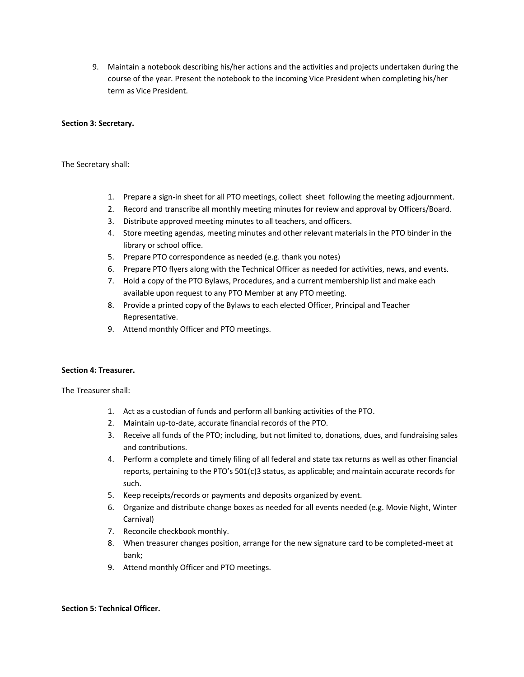9. Maintain a notebook describing his/her actions and the activities and projects undertaken during the course of the year. Present the notebook to the incoming Vice President when completing his/her term as Vice President.

#### **Section 3: Secretary.**

The Secretary shall:

- 1. Prepare a sign-in sheet for all PTO meetings, collect sheet following the meeting adjournment.
- 2. Record and transcribe all monthly meeting minutes for review and approval by Officers/Board.
- 3. Distribute approved meeting minutes to all teachers, and officers.
- 4. Store meeting agendas, meeting minutes and other relevant materials in the PTO binder in the library or school office.
- 5. Prepare PTO correspondence as needed (e.g. thank you notes)
- 6. Prepare PTO flyers along with the Technical Officer as needed for activities, news, and events.
- 7. Hold a copy of the PTO Bylaws, Procedures, and a current membership list and make each available upon request to any PTO Member at any PTO meeting.
- 8. Provide a printed copy of the Bylaws to each elected Officer, Principal and Teacher Representative.
- 9. Attend monthly Officer and PTO meetings.

## **Section 4: Treasurer.**

The Treasurer shall:

- 1. Act as a custodian of funds and perform all banking activities of the PTO.
- 2. Maintain up-to-date, accurate financial records of the PTO.
- 3. Receive all funds of the PTO; including, but not limited to, donations, dues, and fundraising sales and contributions.
- 4. Perform a complete and timely filing of all federal and state tax returns as well as other financial reports, pertaining to the PTO's 501(c)3 status, as applicable; and maintain accurate records for such.
- 5. Keep receipts/records or payments and deposits organized by event.
- 6. Organize and distribute change boxes as needed for all events needed (e.g. Movie Night, Winter Carnival)
- 7. Reconcile checkbook monthly.
- 8. When treasurer changes position, arrange for the new signature card to be completed-meet at bank;
- 9. Attend monthly Officer and PTO meetings.

#### **Section 5: Technical Officer.**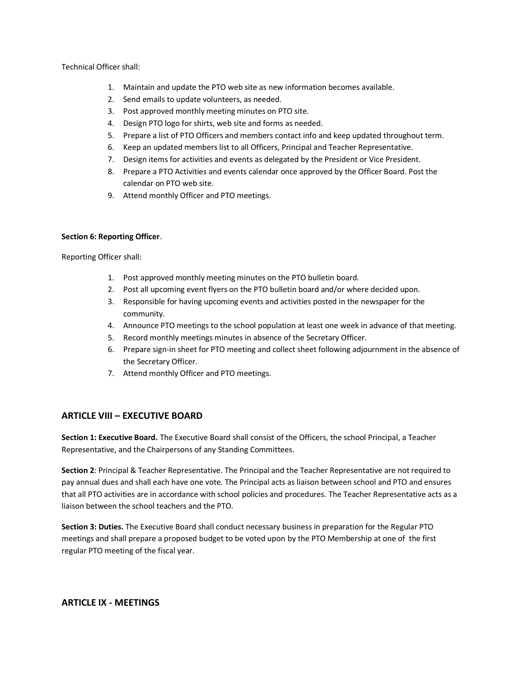#### Technical Officer shall:

- 1. Maintain and update the PTO web site as new information becomes available.
- 2. Send emails to update volunteers, as needed.
- 3. Post approved monthly meeting minutes on PTO site.
- 4. Design PTO logo for shirts, web site and forms as needed.
- 5. Prepare a list of PTO Officers and members contact info and keep updated throughout term.
- 6. Keep an updated members list to all Officers, Principal and Teacher Representative.
- 7. Design items for activities and events as delegated by the President or Vice President.
- 8. Prepare a PTO Activities and events calendar once approved by the Officer Board. Post the calendar on PTO web site.
- 9. Attend monthly Officer and PTO meetings.

#### **Section 6: Reporting Officer**.

Reporting Officer shall:

- 1. Post approved monthly meeting minutes on the PTO bulletin board.
- 2. Post all upcoming event flyers on the PTO bulletin board and/or where decided upon.
- 3. Responsible for having upcoming events and activities posted in the newspaper for the community.
- 4. Announce PTO meetings to the school population at least one week in advance of that meeting.
- 5. Record monthly meetings minutes in absence of the Secretary Officer.
- 6. Prepare sign-in sheet for PTO meeting and collect sheet following adjournment in the absence of the Secretary Officer.
- 7. Attend monthly Officer and PTO meetings.

## **ARTICLE VIII – EXECUTIVE BOARD**

**Section 1: Executive Board.** The Executive Board shall consist of the Officers, the school Principal, a Teacher Representative, and the Chairpersons of any Standing Committees.

**Section 2**: Principal & Teacher Representative. The Principal and the Teacher Representative are not required to pay annual dues and shall each have one vote. The Principal acts as liaison between school and PTO and ensures that all PTO activities are in accordance with school policies and procedures. The Teacher Representative acts as a liaison between the school teachers and the PTO.

**Section 3: Duties.** The Executive Board shall conduct necessary business in preparation for the Regular PTO meetings and shall prepare a proposed budget to be voted upon by the PTO Membership at one of the first regular PTO meeting of the fiscal year.

## **ARTICLE IX - MEETINGS**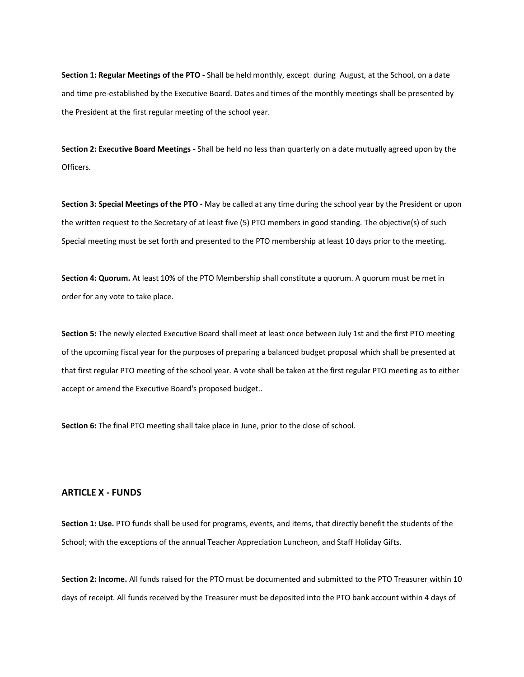**Section 1: Regular Meetings of the PTO -** Shall be held monthly, except during August, at the School, on a date and time pre-established by the Executive Board. Dates and times of the monthly meetings shall be presented by the President at the first regular meeting of the school year.

**Section 2: Executive Board Meetings -** Shall be held no less than quarterly on a date mutually agreed upon by the Officers.

**Section 3: Special Meetings of the PTO -** May be called at any time during the school year by the President or upon the written request to the Secretary of at least five (5) PTO members in good standing. The objective(s) of such Special meeting must be set forth and presented to the PTO membership at least 10 days prior to the meeting.

**Section 4: Quorum.** At least 10% of the PTO Membership shall constitute a quorum. A quorum must be met in order for any vote to take place.

**Section 5:** The newly elected Executive Board shall meet at least once between July 1st and the first PTO meeting of the upcoming fiscal year for the purposes of preparing a balanced budget proposal which shall be presented at that first regular PTO meeting of the school year. A vote shall be taken at the first regular PTO meeting as to either accept or amend the Executive Board's proposed budget..

**Section 6:** The final PTO meeting shall take place in June, prior to the close of school.

#### **ARTICLE X - FUNDS**

**Section 1: Use.** PTO funds shall be used for programs, events, and items, that directly benefit the students of the School; with the exceptions of the annual Teacher Appreciation Luncheon, and Staff Holiday Gifts.

**Section 2: Income.** All funds raised for the PTO must be documented and submitted to the PTO Treasurer within 10 days of receipt. All funds received by the Treasurer must be deposited into the PTO bank account within 4 days of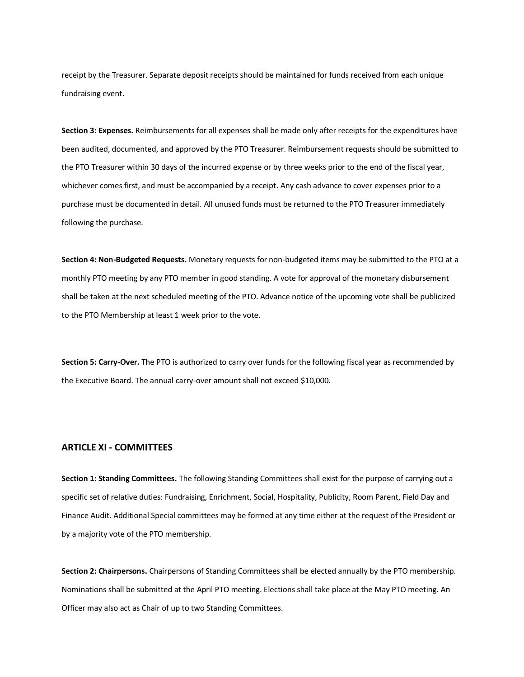receipt by the Treasurer. Separate deposit receipts should be maintained for funds received from each unique fundraising event.

**Section 3: Expenses.** Reimbursements for all expenses shall be made only after receipts for the expenditures have been audited, documented, and approved by the PTO Treasurer. Reimbursement requests should be submitted to the PTO Treasurer within 30 days of the incurred expense or by three weeks prior to the end of the fiscal year, whichever comes first, and must be accompanied by a receipt. Any cash advance to cover expenses prior to a purchase must be documented in detail. All unused funds must be returned to the PTO Treasurer immediately following the purchase.

**Section 4: Non-Budgeted Requests.** Monetary requests for non-budgeted items may be submitted to the PTO at a monthly PTO meeting by any PTO member in good standing. A vote for approval of the monetary disbursement shall be taken at the next scheduled meeting of the PTO. Advance notice of the upcoming vote shall be publicized to the PTO Membership at least 1 week prior to the vote.

**Section 5: Carry-Over.** The PTO is authorized to carry over funds for the following fiscal year as recommended by the Executive Board. The annual carry-over amount shall not exceed \$10,000.

## **ARTICLE XI - COMMITTEES**

**Section 1: Standing Committees.** The following Standing Committees shall exist for the purpose of carrying out a specific set of relative duties: Fundraising, Enrichment, Social, Hospitality, Publicity, Room Parent, Field Day and Finance Audit. Additional Special committees may be formed at any time either at the request of the President or by a majority vote of the PTO membership.

**Section 2: Chairpersons.** Chairpersons of Standing Committees shall be elected annually by the PTO membership. Nominations shall be submitted at the April PTO meeting. Elections shall take place at the May PTO meeting. An Officer may also act as Chair of up to two Standing Committees.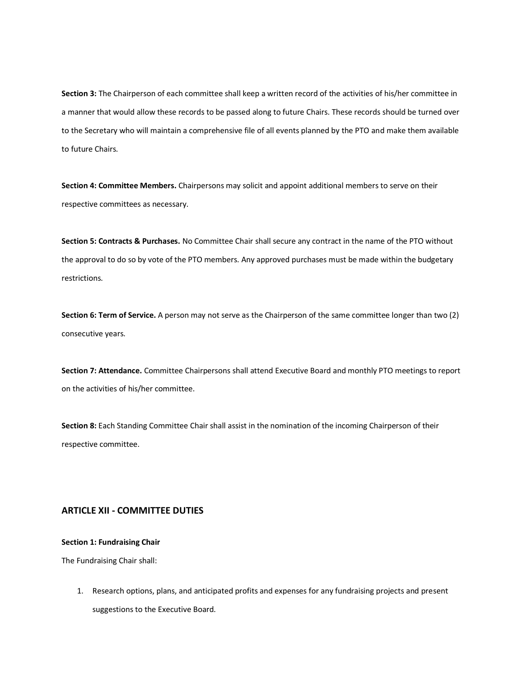**Section 3:** The Chairperson of each committee shall keep a written record of the activities of his/her committee in a manner that would allow these records to be passed along to future Chairs. These records should be turned over to the Secretary who will maintain a comprehensive file of all events planned by the PTO and make them available to future Chairs.

**Section 4: Committee Members.** Chairpersons may solicit and appoint additional members to serve on their respective committees as necessary.

**Section 5: Contracts & Purchases.** No Committee Chair shall secure any contract in the name of the PTO without the approval to do so by vote of the PTO members. Any approved purchases must be made within the budgetary restrictions.

**Section 6: Term of Service.** A person may not serve as the Chairperson of the same committee longer than two (2) consecutive years.

**Section 7: Attendance.** Committee Chairpersons shall attend Executive Board and monthly PTO meetings to report on the activities of his/her committee.

**Section 8:** Each Standing Committee Chair shall assist in the nomination of the incoming Chairperson of their respective committee.

## **ARTICLE XII - COMMITTEE DUTIES**

#### **Section 1: Fundraising Chair**

The Fundraising Chair shall:

1. Research options, plans, and anticipated profits and expenses for any fundraising projects and present suggestions to the Executive Board.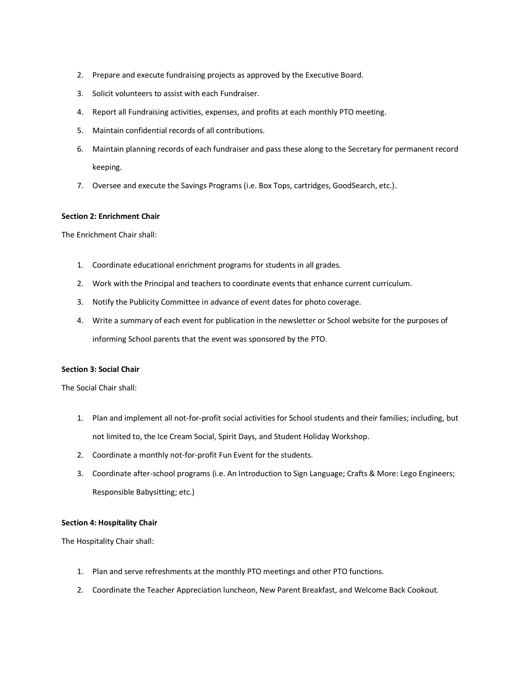- 2. Prepare and execute fundraising projects as approved by the Executive Board.
- 3. Solicit volunteers to assist with each Fundraiser.
- 4. Report all Fundraising activities, expenses, and profits at each monthly PTO meeting.
- 5. Maintain confidential records of all contributions.
- 6. Maintain planning records of each fundraiser and pass these along to the Secretary for permanent record keeping.
- 7. Oversee and execute the Savings Programs (i.e. Box Tops, cartridges, GoodSearch, etc.).

#### **Section 2: Enrichment Chair**

The Enrichment Chair shall:

- 1. Coordinate educational enrichment programs for students in all grades.
- 2. Work with the Principal and teachers to coordinate events that enhance current curriculum.
- 3. Notify the Publicity Committee in advance of event dates for photo coverage.
- 4. Write a summary of each event for publication in the newsletter or School website for the purposes of informing School parents that the event was sponsored by the PTO.

#### **Section 3: Social Chair**

The Social Chair shall:

- 1. Plan and implement all not-for-profit social activities for School students and their families; including, but not limited to, the Ice Cream Social, Spirit Days, and Student Holiday Workshop.
- 2. Coordinate a monthly not-for-profit Fun Event for the students.
- 3. Coordinate after-school programs (i.e. An Introduction to Sign Language; Crafts & More: Lego Engineers; Responsible Babysitting; etc.)

#### **Section 4: Hospitality Chair**

The Hospitality Chair shall:

- 1. Plan and serve refreshments at the monthly PTO meetings and other PTO functions.
- 2. Coordinate the Teacher Appreciation luncheon, New Parent Breakfast, and Welcome Back Cookout.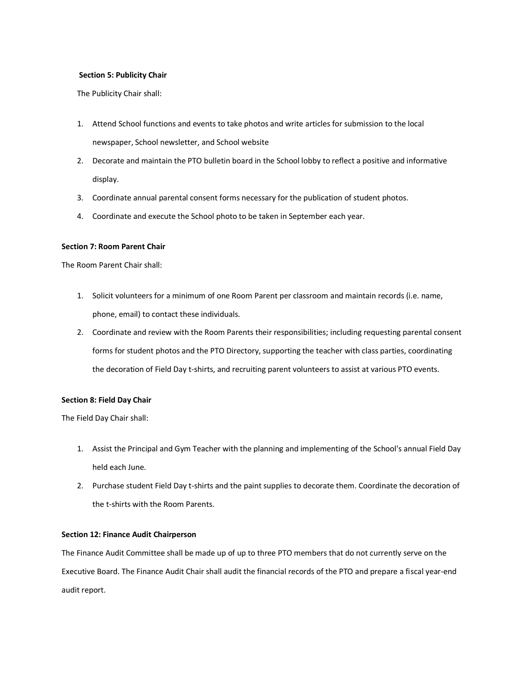#### **Section 5: Publicity Chair**

The Publicity Chair shall:

- 1. Attend School functions and events to take photos and write articles for submission to the local newspaper, School newsletter, and School website
- 2. Decorate and maintain the PTO bulletin board in the School lobby to reflect a positive and informative display.
- 3. Coordinate annual parental consent forms necessary for the publication of student photos.
- 4. Coordinate and execute the School photo to be taken in September each year.

#### **Section 7: Room Parent Chair**

The Room Parent Chair shall:

- 1. Solicit volunteers for a minimum of one Room Parent per classroom and maintain records (i.e. name, phone, email) to contact these individuals.
- 2. Coordinate and review with the Room Parents their responsibilities; including requesting parental consent forms for student photos and the PTO Directory, supporting the teacher with class parties, coordinating the decoration of Field Day t-shirts, and recruiting parent volunteers to assist at various PTO events.

#### **Section 8: Field Day Chair**

The Field Day Chair shall:

- 1. Assist the Principal and Gym Teacher with the planning and implementing of the School's annual Field Day held each June.
- 2. Purchase student Field Day t-shirts and the paint supplies to decorate them. Coordinate the decoration of the t-shirts with the Room Parents.

#### **Section 12: Finance Audit Chairperson**

The Finance Audit Committee shall be made up of up to three PTO members that do not currently serve on the Executive Board. The Finance Audit Chair shall audit the financial records of the PTO and prepare a fiscal year-end audit report.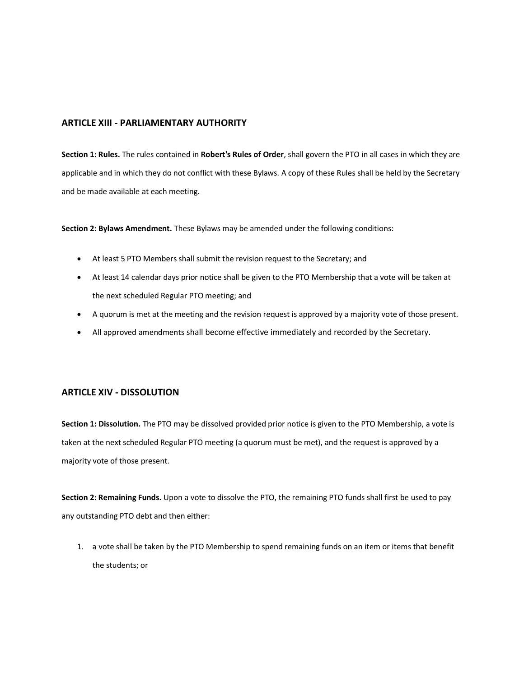## **ARTICLE XIII - PARLIAMENTARY AUTHORITY**

**Section 1: Rules.** The rules contained in **Robert's Rules of Order**, shall govern the PTO in all cases in which they are applicable and in which they do not conflict with these Bylaws. A copy of these Rules shall be held by the Secretary and be made available at each meeting.

**Section 2: Bylaws Amendment.** These Bylaws may be amended under the following conditions:

- At least 5 PTO Members shall submit the revision request to the Secretary; and
- At least 14 calendar days prior notice shall be given to the PTO Membership that a vote will be taken at the next scheduled Regular PTO meeting; and
- A quorum is met at the meeting and the revision request is approved by a majority vote of those present.
- All approved amendments shall become effective immediately and recorded by the Secretary.

## **ARTICLE XIV - DISSOLUTION**

**Section 1: Dissolution.** The PTO may be dissolved provided prior notice is given to the PTO Membership, a vote is taken at the next scheduled Regular PTO meeting (a quorum must be met), and the request is approved by a majority vote of those present.

**Section 2: Remaining Funds.** Upon a vote to dissolve the PTO, the remaining PTO funds shall first be used to pay any outstanding PTO debt and then either:

1. a vote shall be taken by the PTO Membership to spend remaining funds on an item or items that benefit the students; or